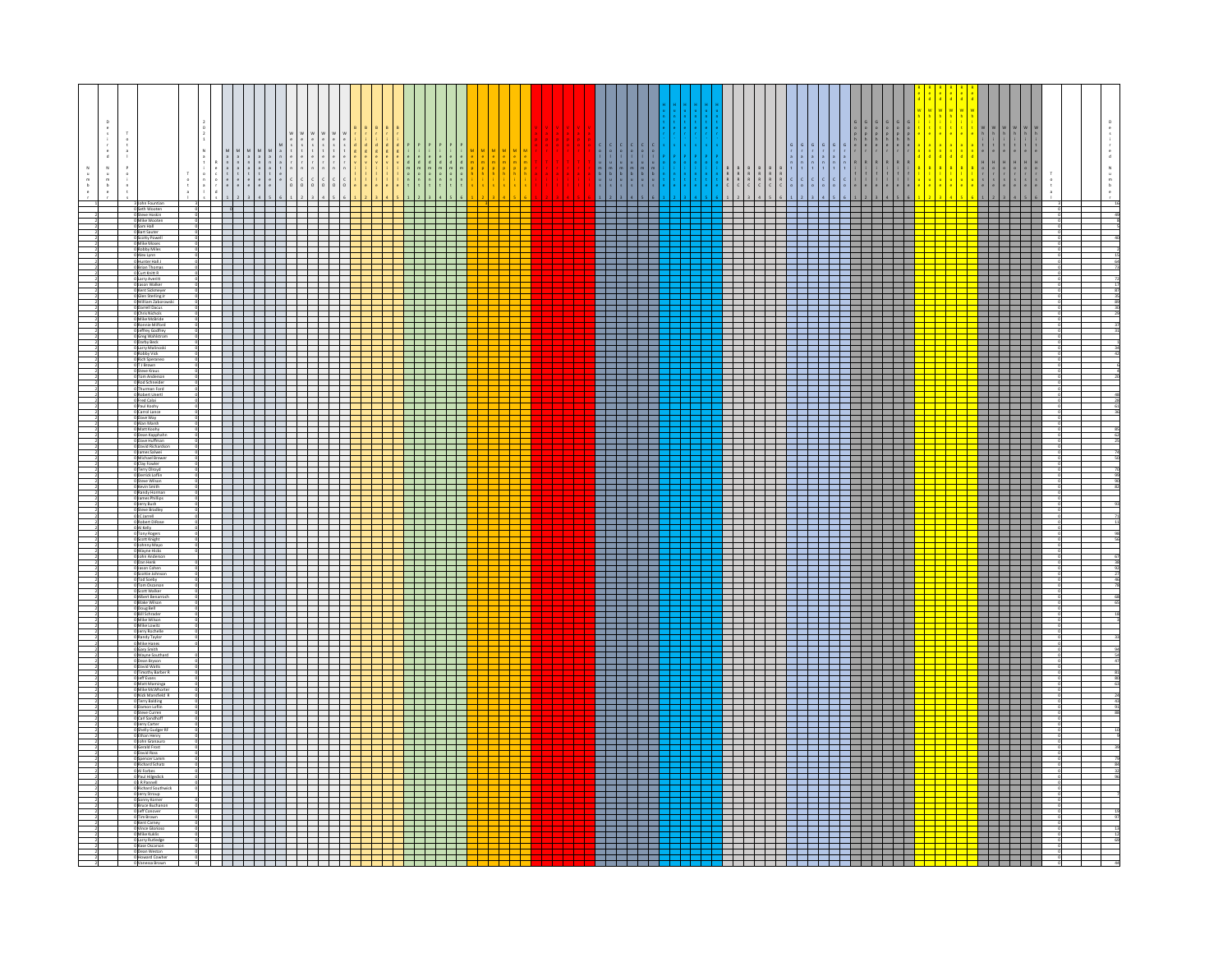|  |                                                                       |  |                                                                   |                                                                                                                   |                          |                                                                                                                | $\begin{array}{c c c c c} \hline \multicolumn{2}{c }{\textbf{1}} & \multicolumn{2}{c }{\textbf{2}} & \multicolumn{2}{c }{\textbf{3}} & \multicolumn{2}{c }{\textbf{4}} & \multicolumn{2}{c }{\textbf{5}} & \multicolumn{2}{c }{\textbf{6}} & \multicolumn{2}{c }{\textbf{7}} & \multicolumn{2}{c }{\textbf{8}} & \multicolumn{2}{c }{\textbf{9}} & \multicolumn{2}{c }{\textbf{1}} & \multicolumn{2}{c }{\textbf{1}} & \multicolumn{2}{c }{\textbf{1$ |                                        |  |  |  |     | $\begin{array}{c} \n\frac{1}{2} \\ \frac{1}{2} \\ \frac{1}{2} \\ \frac{1}{2} \\ \frac{1}{2} \\ \frac{1}{2} \\ \frac{1}{2} \\ \frac{1}{2} \\ \frac{1}{2} \\ \frac{1}{2} \\ \frac{1}{2} \\ \frac{1}{2} \\ \frac{1}{2} \\ \frac{1}{2} \\ \frac{1}{2} \\ \frac{1}{2} \\ \frac{1}{2} \\ \frac{1}{2} \\ \frac{1}{2} \\ \frac{1}{2} \\ \frac{1}{2} \\ \frac{1}{2} \\ \frac{1}{2} \\ \frac{1}{2} \\ \frac{1}{2} \\ \frac{1}{2} \\ \frac{$<br>123456 |  |                          | اعلملدا داعلمله                                                      |      |                                                                                                                      |                                                                                                               |  | ıк<br>I:         | $h$ $h$                 |                                                                                                                                                                                                                                                         |  | $\frac{e}{d}$<br>$\boldsymbol{\mathsf{N}}$<br>$\circ$ $\circ$ $\circ$ |
|--|-----------------------------------------------------------------------|--|-------------------------------------------------------------------|-------------------------------------------------------------------------------------------------------------------|--------------------------|----------------------------------------------------------------------------------------------------------------|-------------------------------------------------------------------------------------------------------------------------------------------------------------------------------------------------------------------------------------------------------------------------------------------------------------------------------------------------------------------------------------------------------------------------------------------------------|----------------------------------------|--|--|--|-----|---------------------------------------------------------------------------------------------------------------------------------------------------------------------------------------------------------------------------------------------------------------------------------------------------------------------------------------------------------------------------------------------------------------------------------------------|--|--------------------------|----------------------------------------------------------------------|------|----------------------------------------------------------------------------------------------------------------------|---------------------------------------------------------------------------------------------------------------|--|------------------|-------------------------|---------------------------------------------------------------------------------------------------------------------------------------------------------------------------------------------------------------------------------------------------------|--|-----------------------------------------------------------------------|
|  |                                                                       |  |                                                                   |                                                                                                                   |                          |                                                                                                                |                                                                                                                                                                                                                                                                                                                                                                                                                                                       |                                        |  |  |  |     | <b>Biling and an</b>                                                                                                                                                                                                                                                                                                                                                                                                                        |  |                          |                                                                      |      |                                                                                                                      |                                                                                                               |  | <u> Tarta da</u> |                         |                                                                                                                                                                                                                                                         |  |                                                                       |
|  | 0 Steve Hoskin<br>Mike Woote                                          |  |                                                                   |                                                                                                                   |                          |                                                                                                                |                                                                                                                                                                                                                                                                                                                                                                                                                                                       |                                        |  |  |  |     |                                                                                                                                                                                                                                                                                                                                                                                                                                             |  |                          |                                                                      |      |                                                                                                                      |                                                                                                               |  |                  | .                       | <u>is se se se se</u>                                                                                                                                                                                                                                   |  |                                                                       |
|  | 0 Sam Hall<br>0 Bart Sauter<br>0 Scotty Powell                        |  |                                                                   |                                                                                                                   |                          |                                                                                                                |                                                                                                                                                                                                                                                                                                                                                                                                                                                       |                                        |  |  |  |     | 222222                                                                                                                                                                                                                                                                                                                                                                                                                                      |  |                          |                                                                      |      |                                                                                                                      |                                                                                                               |  |                  |                         | <u>issaar</u>                                                                                                                                                                                                                                           |  |                                                                       |
|  | Mike Mose<br><b>Jobby Miles</b>                                       |  |                                                                   |                                                                                                                   |                          |                                                                                                                |                                                                                                                                                                                                                                                                                                                                                                                                                                                       |                                        |  |  |  |     | <u> Timba ka katika mwaka wa 1991 - Ilikuwa mwaka wa 1991 - Ilikuwa mwaka wa 1991 - Ilikuwa mwaka wa 1991 - Ilikuwa </u><br>______                                                                                                                                                                                                                                                                                                          |  |                          |                                                                      |      |                                                                                                                      |                                                                                                               |  |                  | a shekara ta 19         |                                                                                                                                                                                                                                                         |  |                                                                       |
|  | Alex Lynn                                                             |  |                                                                   |                                                                                                                   |                          |                                                                                                                |                                                                                                                                                                                                                                                                                                                                                                                                                                                       |                                        |  |  |  |     | ▌<br>▌ <u>▊▊▕▕▕▕▕▕▕</u>                                                                                                                                                                                                                                                                                                                                                                                                                     |  |                          |                                                                      |      | <del>▏▐</del> ▆▛▆▛▅▛▅▊▅▊▅ <mark>▘<br/>▙▆▛▅▊▅▊▅▊▅▊▅▊</mark>                                                           |                                                                                                               |  |                  |                         | <mark>┆</mark>                                                                                                                                                                                                                                          |  |                                                                       |
|  | Hunter Hall J<br>Brian Thomas<br>0 Curt Knitt R                       |  |                                                                   |                                                                                                                   |                          |                                                                                                                |                                                                                                                                                                                                                                                                                                                                                                                                                                                       |                                        |  |  |  |     | .                                                                                                                                                                                                                                                                                                                                                                                                                                           |  |                          |                                                                      |      |                                                                                                                      |                                                                                                               |  |                  | .                       |                                                                                                                                                                                                                                                         |  |                                                                       |
|  | Larry Averitt<br>Jason Walker<br>Kent Sickmeye                        |  |                                                                   |                                                                                                                   |                          |                                                                                                                |                                                                                                                                                                                                                                                                                                                                                                                                                                                       |                                        |  |  |  |     |                                                                                                                                                                                                                                                                                                                                                                                                                                             |  |                          | <u>sisi sisi sisi sisi sisi si</u>                                   |      |                                                                                                                      |                                                                                                               |  |                  |                         | <u>star i serien</u>                                                                                                                                                                                                                                    |  |                                                                       |
|  | len Sterling Jr                                                       |  |                                                                   |                                                                                                                   |                          |                                                                                                                |                                                                                                                                                                                                                                                                                                                                                                                                                                                       |                                        |  |  |  |     | ar berlin                                                                                                                                                                                                                                                                                                                                                                                                                                   |  |                          |                                                                      |      | Filipinis <mark>i</mark><br>Filipinisi                                                                               |                                                                                                               |  |                  |                         |                                                                                                                                                                                                                                                         |  |                                                                       |
|  | Miliam Zaborowski<br>arrell Dacus<br>sric Nichols                     |  |                                                                   | .                                                                                                                 | $\overline{\phantom{0}}$ |                                                                                                                |                                                                                                                                                                                                                                                                                                                                                                                                                                                       | and the state<br>and the second second |  |  |  |     | <u> Timba ka katika mwaka wa 1991 - Ilikuwa mwaka wa 1991 - Ilikuwa mwaka wa 1991 - Ilikuwa mwaka wa 1991 - Ilikuwa </u>                                                                                                                                                                                                                                                                                                                    |  |                          |                                                                      |      | <u> La Carlo de la Carlo de la </u>                                                                                  | <b>REBER</b>                                                                                                  |  |                  |                         | <u> Islam i Samuel I</u>                                                                                                                                                                                                                                |  |                                                                       |
|  | Mike McBride<br>0 Ronnie Milford                                      |  |                                                                   |                                                                                                                   |                          | <u>statet i kolonistatet </u>                                                                                  |                                                                                                                                                                                                                                                                                                                                                                                                                                                       | a di Santa B                           |  |  |  |     |                                                                                                                                                                                                                                                                                                                                                                                                                                             |  |                          |                                                                      |      | <u> a shekara</u>                                                                                                    |                                                                                                               |  |                  |                         | <u>istoriat</u><br>Istoriat                                                                                                                                                                                                                             |  |                                                                       |
|  | Jeffrey Godfrey                                                       |  |                                                                   |                                                                                                                   |                          |                                                                                                                |                                                                                                                                                                                                                                                                                                                                                                                                                                                       |                                        |  |  |  |     | <u> Timba ka katika mwaka wa 1991 - Ilikuwa mwaka wa 1991 - Ilikuwa mwaka wa 1991 - Ilikuwa mwaka wa 1991 - Ilikuwa </u><br>_______                                                                                                                                                                                                                                                                                                         |  |                          |                                                                      |      |                                                                                                                      |                                                                                                               |  |                  |                         |                                                                                                                                                                                                                                                         |  |                                                                       |
|  | )<br>  Greg Wahlstron<br>  Darby Beck<br>  Larry Malinosk             |  |                                                                   |                                                                                                                   |                          |                                                                                                                |                                                                                                                                                                                                                                                                                                                                                                                                                                                       |                                        |  |  |  |     | sisisisisid                                                                                                                                                                                                                                                                                                                                                                                                                                 |  |                          |                                                                      |      |                                                                                                                      |                                                                                                               |  |                  |                         | <u>i i kata</u><br><u> La Barbara de la Barbara de la Barbara de la Barbara de la Barbara de la Barbara de la Barbara de la Barbara de la Barbara de la Barbara de la Barbara de la Barbara de la Barbara de la Barbara de la Barbara de la Barbara</u> |  |                                                                       |
|  | obby Vick                                                             |  |                                                                   | <u> La Baraton de la Baraton de la Baraton de la Baraton de la Baraton de la Baraton de la Baraton de la Bara</u> |                          |                                                                                                                |                                                                                                                                                                                                                                                                                                                                                                                                                                                       | in a control                           |  |  |  |     | <u> Timba ka katika mwaka wa 1991 - Ilikuwa mwaka wa 1991 - Ilikuwa mwaka wa 1991 - Ilikuwa mwaka wa 1991 - Ilikuwa </u>                                                                                                                                                                                                                                                                                                                    |  |                          |                                                                      |      |                                                                                                                      |                                                                                                               |  |                  |                         | .                                                                                                                                                                                                                                                       |  |                                                                       |
|  | 0 Rich Speraneo<br>0 T J Brown<br>0 Steve Kraus                       |  |                                                                   |                                                                                                                   |                          |                                                                                                                |                                                                                                                                                                                                                                                                                                                                                                                                                                                       | an di Ba                               |  |  |  |     | 22222.                                                                                                                                                                                                                                                                                                                                                                                                                                      |  | Ŧ                        | and a family of the family of the family                             |      | <u> 1555333.</u>                                                                                                     |                                                                                                               |  |                  | <u>esse</u>             |                                                                                                                                                                                                                                                         |  |                                                                       |
|  | Tom Anderson<br>Rod Schneid                                           |  |                                                                   |                                                                                                                   |                          |                                                                                                                |                                                                                                                                                                                                                                                                                                                                                                                                                                                       |                                        |  |  |  |     | a kacamatan ing Kabupatén Kabu<br>an sa tsa na kata<br>استحاضته استحاض                                                                                                                                                                                                                                                                                                                                                                      |  |                          |                                                                      |      |                                                                                                                      | a kacamatan ing Kabupatén Ing Kabupatén Ing Kabupatén Ing Kabupatén Ing Kabupatén Ing Kabupatén Ing Kabupatén |  |                  | 1                       | <u>is serem</u>                                                                                                                                                                                                                                         |  |                                                                       |
|  | Thurman Ford<br>Robert Unerti<br>0 Fred Calai                         |  |                                                                   |                                                                                                                   |                          |                                                                                                                |                                                                                                                                                                                                                                                                                                                                                                                                                                                       |                                        |  |  |  |     | an bahasa                                                                                                                                                                                                                                                                                                                                                                                                                                   |  |                          |                                                                      |      |                                                                                                                      |                                                                                                               |  |                  |                         |                                                                                                                                                                                                                                                         |  |                                                                       |
|  | O Paul Koohy<br>O Carrol Lance                                        |  |                                                                   |                                                                                                                   |                          |                                                                                                                |                                                                                                                                                                                                                                                                                                                                                                                                                                                       |                                        |  |  |  |     |                                                                                                                                                                                                                                                                                                                                                                                                                                             |  |                          |                                                                      |      | .                                                                                                                    |                                                                                                               |  |                  | .                       |                                                                                                                                                                                                                                                         |  |                                                                       |
|  | O Dave Way                                                            |  |                                                                   |                                                                                                                   |                          |                                                                                                                |                                                                                                                                                                                                                                                                                                                                                                                                                                                       | - 1                                    |  |  |  | EEI | a kacamatan ing Kabupatén Kabu                                                                                                                                                                                                                                                                                                                                                                                                              |  |                          | ____________                                                         |      | <u> Karl Hall</u>                                                                                                    |                                                                                                               |  |                  |                         |                                                                                                                                                                                                                                                         |  |                                                                       |
|  | lan Marsh<br>latt Koohy<br>0 Dean Kapphahi                            |  |                                                                   | ┥┥┪┪┪┪                                                                                                            |                          |                                                                                                                |                                                                                                                                                                                                                                                                                                                                                                                                                                                       |                                        |  |  |  |     |                                                                                                                                                                                                                                                                                                                                                                                                                                             |  |                          |                                                                      |      |                                                                                                                      | <u> 1955 - 1956 - 195</u>                                                                                     |  |                  | .                       |                                                                                                                                                                                                                                                         |  |                                                                       |
|  | Dave Huffma<br>David Richardson                                       |  | <u><del>╎╌╎╌╎╌╎╌╎╌╎╌╎╌╎╌╎╌╎╌╎</del></u>                           |                                                                                                                   |                          |                                                                                                                |                                                                                                                                                                                                                                                                                                                                                                                                                                                       |                                        |  |  |  |     | an sa tsa na kata<br>ساسا ساسانی س                                                                                                                                                                                                                                                                                                                                                                                                          |  |                          |                                                                      |      |                                                                                                                      |                                                                                                               |  |                  |                         | <u>I</u><br>International                                                                                                                                                                                                                               |  |                                                                       |
|  | James Salwei<br>Michael Brewe<br>Clay Fowler                          |  | - <del>1 - 1 - 1 - 1 - 1</del>                                    |                                                                                                                   |                          |                                                                                                                |                                                                                                                                                                                                                                                                                                                                                                                                                                                       |                                        |  |  |  |     | 222222<br>an barat da barat da bar                                                                                                                                                                                                                                                                                                                                                                                                          |  |                          | ▆▟▅▊▅▊▅ <del>▌▅▐▗▅▊▅▊▅▊▅▊▅▊<br/>▆▆<u>ᡫ▅▐▅▅▊▅▐▅▅▊▅▊▅▊▅▊▅▊▅▊</u></del> |      |                                                                                                                      |                                                                                                               |  | г                |                         |                                                                                                                                                                                                                                                         |  |                                                                       |
|  | Terry Olroyd<br>errick Lofli                                          |  |                                                                   | ________<br>$\overline{\phantom{a}}$                                                                              |                          |                                                                                                                |                                                                                                                                                                                                                                                                                                                                                                                                                                                       | and the state of the state             |  |  |  |     | <u> Timba ka katika mwaka wa 1991 - Ilikuwa mwaka wa 1991 - Ilikuwa mwaka wa 1991 - Ilikuwa mwaka wa 1991 - Ilikuwa </u>                                                                                                                                                                                                                                                                                                                    |  |                          |                                                                      |      |                                                                                                                      |                                                                                                               |  |                  |                         |                                                                                                                                                                                                                                                         |  |                                                                       |
|  | Steve Wilson<br>Kevin Smith                                           |  | .                                                                 |                                                                                                                   | T - 1                    | <u>sta ja ja ja ja ja ja ja ja</u>                                                                             |                                                                                                                                                                                                                                                                                                                                                                                                                                                       |                                        |  |  |  |     | ar e a                                                                                                                                                                                                                                                                                                                                                                                                                                      |  |                          |                                                                      |      | ▟▜▛▞▗▚░▓<br>▟▓▓▓                                                                                                     |                                                                                                               |  |                  | <u>i ser</u>            |                                                                                                                                                                                                                                                         |  |                                                                       |
|  | Randy Horma<br>James Phillips                                         |  | <del>╎╴╎╶╎╶╎╌╎╌╎╶╎╌╎╌╎╴╎╴<mark>╎╴╎╴╎╴╎╴</mark>╎╴╏╴╏╴╏╴╏╴╏╴╏</del> |                                                                                                                   |                          |                                                                                                                |                                                                                                                                                                                                                                                                                                                                                                                                                                                       |                                        |  |  |  |     | <u> 1950 - 1950 - 1951 - 1951 - 1951 - 1951 - 1951 - 1951 - 1951 - 1951 - 1951 - 1951 - 1951 - 1951 - 1951 - 195</u>                                                                                                                                                                                                                                                                                                                        |  |                          | ____________                                                         |      |                                                                                                                      | .                                                                                                             |  |                  | .                       |                                                                                                                                                                                                                                                         |  |                                                                       |
|  | o Jerry Bush<br>O Jerry Bush<br>O Steve Bradio                        |  |                                                                   |                                                                                                                   |                          | ╶╶╶╶╶╶╶ <mark>╶╎┙┆┆┆┆┆</mark>                                                                                  |                                                                                                                                                                                                                                                                                                                                                                                                                                                       |                                        |  |  |  |     | 222222                                                                                                                                                                                                                                                                                                                                                                                                                                      |  |                          |                                                                      |      | <del>- 1999 - 1999</del>                                                                                             |                                                                                                               |  |                  |                         | <u>i de cierre</u>                                                                                                                                                                                                                                      |  |                                                                       |
|  | IC Jarrell<br><b>Robert DiRose</b>                                    |  |                                                                   | <u> Electronic III de la f</u>                                                                                    |                          |                                                                                                                |                                                                                                                                                                                                                                                                                                                                                                                                                                                       | and the state<br>an an an S            |  |  |  |     | <u> Timba ka katika mwaka wa 1991 - Ilikuwa mwaka wa 1991 - Ilikuwa mwaka wa 1991 - Ilikuwa mwaka wa 1991 - Ilikuwa </u>                                                                                                                                                                                                                                                                                                                    |  |                          |                                                                      |      |                                                                                                                      | <u> Timba ka ka</u><br><u> Timba ka ka</u>                                                                    |  |                  | .                       |                                                                                                                                                                                                                                                         |  |                                                                       |
|  | Al Kelly<br>Tony Roge<br><b>O</b> Scott Knight                        |  |                                                                   |                                                                                                                   | $\overline{\phantom{0}}$ |                                                                                                                |                                                                                                                                                                                                                                                                                                                                                                                                                                                       |                                        |  |  |  |     | aranana<br>Bandaria                                                                                                                                                                                                                                                                                                                                                                                                                         |  |                          |                                                                      |      | s an an Sao                                                                                                          |                                                                                                               |  |                  | i di s                  |                                                                                                                                                                                                                                                         |  |                                                                       |
|  | O Johnny Mayo<br>Wayne Hicks<br>John Anderson                         |  |                                                                   |                                                                                                                   |                          |                                                                                                                |                                                                                                                                                                                                                                                                                                                                                                                                                                                       |                                        |  |  |  |     | <u> Timba ka katika mwaka wa 1991 - Ilikuwa mwaka wa 1991 - Ilikuwa mwaka wa 1991 - Ilikuwa mwaka wa 1991 - Ilikuwa </u>                                                                                                                                                                                                                                                                                                                    |  |                          |                                                                      |      |                                                                                                                      | <u> 1955 - 19</u>                                                                                             |  |                  | <u> Isabel Isabel I</u> | <mark>▞▅▊▅▊▅▊▅▊▅▊</mark>                                                                                                                                                                                                                                |  |                                                                       |
|  | Dan Henk<br>Jason Coher                                               |  |                                                                   |                                                                                                                   |                          |                                                                                                                |                                                                                                                                                                                                                                                                                                                                                                                                                                                       |                                        |  |  |  |     | استحاضته استحاض<br>232222                                                                                                                                                                                                                                                                                                                                                                                                                   |  |                          |                                                                      |      |                                                                                                                      |                                                                                                               |  |                  |                         | i di sebelum ber                                                                                                                                                                                                                                        |  |                                                                       |
|  | ottie John<br><b>Tod Soeby</b>                                        |  |                                                                   | 1 - 1 - 1 - 1 - 1                                                                                                 |                          |                                                                                                                |                                                                                                                                                                                                                                                                                                                                                                                                                                                       | a kacamatan ing Kabupatén Kabu         |  |  |  |     | an bahasa di sebagai sebagai sebagai sebagai sebagai sebagai sebagai sebagai sebagai sebagai sebagai sebagai s<br><u> Timba ka katika mwaka wa 1991 - Ilikuwa mwaka wa 1991 - Ilikuwa mwaka wa 1991 - Ilikuwa mwaka wa 1991 - Ilikuwa </u>                                                                                                                                                                                                  |  |                          |                                                                      |      |                                                                                                                      | .<br>1                                                                                                        |  |                  | .                       | <u> La Barbara de la Ba</u>                                                                                                                                                                                                                             |  |                                                                       |
|  | om Oscarse<br>:ott Walke                                              |  |                                                                   |                                                                                                                   |                          |                                                                                                                |                                                                                                                                                                                                                                                                                                                                                                                                                                                       |                                        |  |  |  |     | 22222.                                                                                                                                                                                                                                                                                                                                                                                                                                      |  |                          |                                                                      |      |                                                                                                                      | <u> Elizabeth </u>                                                                                            |  |                  | <u>i de la</u>          |                                                                                                                                                                                                                                                         |  |                                                                       |
|  | 0 Albert Benarrock<br><b>Blake Wilson</b>                             |  |                                                                   |                                                                                                                   |                          |                                                                                                                |                                                                                                                                                                                                                                                                                                                                                                                                                                                       |                                        |  |  |  |     | a kacamatan ing Kabupatén Kabu<br>an sa tsa na kata                                                                                                                                                                                                                                                                                                                                                                                         |  |                          |                                                                      |      |                                                                                                                      | a katika Manazarta                                                                                            |  |                  | .                       |                                                                                                                                                                                                                                                         |  |                                                                       |
|  | Doug Bell<br><b>Bill Schrader</b>                                     |  |                                                                   |                                                                                                                   |                          |                                                                                                                |                                                                                                                                                                                                                                                                                                                                                                                                                                                       |                                        |  |  |  |     | 322323                                                                                                                                                                                                                                                                                                                                                                                                                                      |  |                          |                                                                      |      |                                                                                                                      |                                                                                                               |  |                  | <u>a matsay</u>         |                                                                                                                                                                                                                                                         |  |                                                                       |
|  | 0 Mike Wilson<br>0 Mike Lowitz<br>O Jerry Rochelle                    |  |                                                                   |                                                                                                                   |                          |                                                                                                                |                                                                                                                                                                                                                                                                                                                                                                                                                                                       |                                        |  |  |  |     | 222222<br><u> Timba ka katika mwaka wa 1991 - Ilikuwa mwaka wa 1991 - Ilikuwa mwaka wa 1991 - Ilikuwa mwaka wa 1991 - Ilikuwa </u>                                                                                                                                                                                                                                                                                                          |  |                          |                                                                      |      | <u> La Carlo de la Carlo de la </u>                                                                                  |                                                                                                               |  |                  |                         | <mark>┆</mark><br>╶╶╶╶╶╶╶╶                                                                                                                                                                                                                              |  |                                                                       |
|  | andy Taylor                                                           |  |                                                                   |                                                                                                                   |                          |                                                                                                                |                                                                                                                                                                                                                                                                                                                                                                                                                                                       |                                        |  |  |  |     | ar e a                                                                                                                                                                                                                                                                                                                                                                                                                                      |  |                          | كالحالط احالط احالط الحالطات                                         |      | ▟▜▛▞▗▚░▓<br>▟▓▓▓                                                                                                     |                                                                                                               |  |                  |                         | <u>i i ka</u>                                                                                                                                                                                                                                           |  |                                                                       |
|  | Viike Hanes<br>Sary Smith<br>Wayne Southard                           |  |                                                                   |                                                                                                                   |                          |                                                                                                                |                                                                                                                                                                                                                                                                                                                                                                                                                                                       |                                        |  |  |  |     |                                                                                                                                                                                                                                                                                                                                                                                                                                             |  |                          |                                                                      |      |                                                                                                                      | .                                                                                                             |  |                  | .                       |                                                                                                                                                                                                                                                         |  |                                                                       |
|  | Dean Bryson<br>David Watts<br>Timothy Barbe                           |  |                                                                   |                                                                                                                   |                          |                                                                                                                |                                                                                                                                                                                                                                                                                                                                                                                                                                                       |                                        |  |  |  |     |                                                                                                                                                                                                                                                                                                                                                                                                                                             |  |                          | <u> 2000 2000 2000 20</u>                                            |      | <u> Herriche</u><br>Herriche <mark>r</mark>                                                                          |                                                                                                               |  |                  |                         | <u>isisisisisi</u><br>Liikkoole                                                                                                                                                                                                                         |  |                                                                       |
|  | Jeff Evans                                                            |  |                                                                   |                                                                                                                   |                          |                                                                                                                |                                                                                                                                                                                                                                                                                                                                                                                                                                                       |                                        |  |  |  |     | ar berlin                                                                                                                                                                                                                                                                                                                                                                                                                                   |  |                          |                                                                      | ┽┽┽┽ |                                                                                                                      |                                                                                                               |  |                  |                         |                                                                                                                                                                                                                                                         |  |                                                                       |
|  | Matt Maminga<br>O Mike McWhorter<br>Nick Mansfield R                  |  |                                                                   | -----                                                                                                             |                          |                                                                                                                |                                                                                                                                                                                                                                                                                                                                                                                                                                                       | and the second second                  |  |  |  |     | an barat da barat da bar<br><u> Timba ka katika mwaka wa 1991 - Ilikuwa mwaka wa 1991 - Ilikuwa mwaka wa 1991 - Ilikuwa mwaka wa 1991 - Ilikuwa </u>                                                                                                                                                                                                                                                                                        |  | 33                       | and a start of the first start of the first                          |      | <u> 1 i bilin bilin bilin bilin bilin bilin bilin bilin bilin bilin bilin bilin bilin bilin bilin bilin bilin bi</u> | a di kacamatan <mark>i</mark>                                                                                 |  |                  | 1 I I I                 |                                                                                                                                                                                                                                                         |  |                                                                       |
|  | ry Balding<br>0 Damon Loflin                                          |  |                                                                   | $\overline{\phantom{a}}$                                                                                          |                          | a kata shekara wa Tanzania ya Tanzania ya Tanzania ya Tanzania ya Tanzania ya Tanzania ya Tanzania ya Tanzania |                                                                                                                                                                                                                                                                                                                                                                                                                                                       | in a shekara                           |  |  |  |     | an bahasa                                                                                                                                                                                                                                                                                                                                                                                                                                   |  |                          |                                                                      |      | <u> 1923 - 19</u>                                                                                                    | a kacamatan ing Kabupatén Ing Kabupatén Ing Kabupatén Ing Kabupatén Ing Kabupatén Ing Kabupatén Ing Kabupatén |  |                  | <u>isist</u><br>1       |                                                                                                                                                                                                                                                         |  |                                                                       |
|  | rve Currer<br>Carl Sandhoff                                           |  |                                                                   |                                                                                                                   |                          |                                                                                                                |                                                                                                                                                                                                                                                                                                                                                                                                                                                       |                                        |  |  |  |     | <u> 1950 - 1950 - 1951 - 1951 - 1951 - 1951 - 1951 - 1951 - 1951 - 1951 - 1951 - 1951 - 1951 - 1951 - 1951 - 195</u>                                                                                                                                                                                                                                                                                                                        |  |                          | ____________                                                         |      |                                                                                                                      |                                                                                                               |  |                  | .                       | <u> 1991 - 1991 - 1991 - 19</u>                                                                                                                                                                                                                         |  |                                                                       |
|  | .<br>O Jerry Carter<br>O Shelly Gudger I                              |  |                                                                   |                                                                                                                   |                          |                                                                                                                |                                                                                                                                                                                                                                                                                                                                                                                                                                                       |                                        |  |  |  |     | 323322                                                                                                                                                                                                                                                                                                                                                                                                                                      |  |                          |                                                                      |      |                                                                                                                      | <u> 1999 - Johann Barn</u>                                                                                    |  |                  |                         |                                                                                                                                                                                                                                                         |  |                                                                       |
|  | than Henry<br>ohn Granauro                                            |  |                                                                   | <u> 1 - 1 - 1 - 1 - 1</u>                                                                                         |                          |                                                                                                                |                                                                                                                                                                                                                                                                                                                                                                                                                                                       | and the second second                  |  |  |  |     | an bahasa di sebagai sebagai sebagai sebagai sebagai sebagai sebagai sebagai sebagai sebagai sebagai sebagai s<br>an barat da barat da bar                                                                                                                                                                                                                                                                                                  |  |                          |                                                                      |      |                                                                                                                      | <u> 1955 - 1956 - 195</u><br>a katika Manazarta                                                               |  |                  |                         |                                                                                                                                                                                                                                                         |  |                                                                       |
|  | Serald Frost<br>Javid Ross<br>Spencer Lamn                            |  |                                                                   |                                                                                                                   | ╤                        |                                                                                                                |                                                                                                                                                                                                                                                                                                                                                                                                                                                       |                                        |  |  |  |     | ar i ber                                                                                                                                                                                                                                                                                                                                                                                                                                    |  | $\overline{\phantom{a}}$ |                                                                      |      |                                                                                                                      | 32232                                                                                                         |  |                  |                         |                                                                                                                                                                                                                                                         |  |                                                                       |
|  | 0 Richard Schatz                                                      |  |                                                                   |                                                                                                                   | $\blacksquare$           |                                                                                                                |                                                                                                                                                                                                                                                                                                                                                                                                                                                       |                                        |  |  |  |     | an bahasa di sebagai sebagai sebagai sebagai sebagai sebagai sebagai sebagai sebagai sebagai sebagai sebagai s<br><u> Timba ka katika mwaka wa 1991 - Ilikuwa mwaka wa 1991 - Ilikuwa mwaka wa 1991 - Ilikuwa mwaka wa 1991 - Ilikuwa </u>                                                                                                                                                                                                  |  |                          |                                                                      |      |                                                                                                                      | .                                                                                                             |  |                  | 1 T T                   |                                                                                                                                                                                                                                                         |  |                                                                       |
|  | 1<br>Al Forbes<br>1 Paul Hilgedick<br>1 R Pannell<br>1 Richard Southw |  | <u>┈╁╌╁╌╁╌╁╌╁╌╁╌╁╌╁╌╁╌╁╌╂╌╂╌╂╌╂╌╂╌╂╌╂╌╂╌╂</u> ╌╂                  |                                                                                                                   |                          |                                                                                                                |                                                                                                                                                                                                                                                                                                                                                                                                                                                       |                                        |  |  |  |     | استحاضته استحاض<br>222222                                                                                                                                                                                                                                                                                                                                                                                                                   |  |                          |                                                                      |      |                                                                                                                      |                                                                                                               |  |                  |                         | <u>is se se se se</u><br><u>e de la</u>                                                                                                                                                                                                                 |  |                                                                       |
|  | Jerry Stroup                                                          |  |                                                                   | .                                                                                                                 |                          |                                                                                                                |                                                                                                                                                                                                                                                                                                                                                                                                                                                       |                                        |  |  |  |     |                                                                                                                                                                                                                                                                                                                                                                                                                                             |  |                          |                                                                      |      |                                                                                                                      |                                                                                                               |  |                  | .                       |                                                                                                                                                                                                                                                         |  |                                                                       |
|  | inny Kornei<br>ce Buch<br>Conove                                      |  |                                                                   | .                                                                                                                 |                          |                                                                                                                |                                                                                                                                                                                                                                                                                                                                                                                                                                                       |                                        |  |  |  |     | ___________<br>and the second                                                                                                                                                                                                                                                                                                                                                                                                               |  |                          | _______________________                                              |      |                                                                                                                      | ta katika kacamatan ing Kabupatén Ing Pada Baga<br><u> Titler</u>                                             |  |                  | ▊<br>▊▁▏▕▏▕             |                                                                                                                                                                                                                                                         |  |                                                                       |
|  | Tim Brown<br>Cent Carney                                              |  |                                                                   | ______                                                                                                            |                          |                                                                                                                |                                                                                                                                                                                                                                                                                                                                                                                                                                                       |                                        |  |  |  |     | an sa tsa na kata                                                                                                                                                                                                                                                                                                                                                                                                                           |  |                          |                                                                      |      |                                                                                                                      | a katika Manazarta                                                                                            |  |                  | .                       |                                                                                                                                                                                                                                                         |  |                                                                       |
|  | <b>Ance Glorio</b><br>Mike Kuklis                                     |  |                                                                   |                                                                                                                   |                          | أكاكاك كاكاكاس                                                                                                 |                                                                                                                                                                                                                                                                                                                                                                                                                                                       |                                        |  |  |  |     | _______<br>______                                                                                                                                                                                                                                                                                                                                                                                                                           |  |                          | a kata sa tsa tsa na kata                                            |      |                                                                                                                      |                                                                                                               |  |                  | <u>in men</u>           |                                                                                                                                                                                                                                                         |  |                                                                       |
|  | O Larry Rutledge<br>Kase Oscarson                                     |  |                                                                   |                                                                                                                   | $\Box$                   |                                                                                                                |                                                                                                                                                                                                                                                                                                                                                                                                                                                       |                                        |  |  |  |     | <u> 222222</u>                                                                                                                                                                                                                                                                                                                                                                                                                              |  |                          |                                                                      |      | <u> - Serengar</u><br>- Serengar                                                                                     |                                                                                                               |  |                  |                         |                                                                                                                                                                                                                                                         |  |                                                                       |
|  | O Dean Weston<br>oward Cowher                                         |  |                                                                   | 2000 -                                                                                                            |                          |                                                                                                                |                                                                                                                                                                                                                                                                                                                                                                                                                                                       |                                        |  |  |  |     | <u> Timba ka katika mwaka wa 1991 - Ilikuwa mwaka wa 1991 - Ilikuwa mwaka wa 1991 - Ilikuwa mwaka wa 1991 - Ilikuwa </u><br>322222                                                                                                                                                                                                                                                                                                          |  |                          |                                                                      |      | <u> 1 i bilin bilin bilin bilin bilin bilin bilin bilin bilin bilin bilin bilin bilin bilin bilin bilin bilin bi</u> |                                                                                                               |  |                  | <b>FREE</b>             |                                                                                                                                                                                                                                                         |  |                                                                       |
|  |                                                                       |  |                                                                   |                                                                                                                   |                          |                                                                                                                |                                                                                                                                                                                                                                                                                                                                                                                                                                                       |                                        |  |  |  |     |                                                                                                                                                                                                                                                                                                                                                                                                                                             |  |                          |                                                                      |      |                                                                                                                      |                                                                                                               |  |                  |                         |                                                                                                                                                                                                                                                         |  |                                                                       |